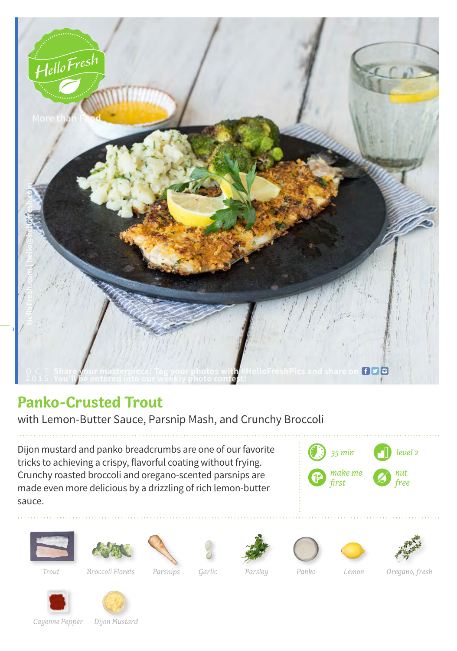

## **Panko-Crusted Trout**

with Lemon-Butter Sauce, Parsnip Mash, and Crunchy Broccoli

Dijon mustard and panko breadcrumbs are one of our favorite tricks to achieving a crispy, flavorful coating without frying. Crunchy roasted broccoli and oregano-scented parsnips are made even more delicious by a drizzling of rich lemon-butter sauce.















*Trout Broccoli Florets Parsnips Garlic Parsley Panko Lemon Oregano, fresh*





*Cayenne Pepper Dijon Mustard*